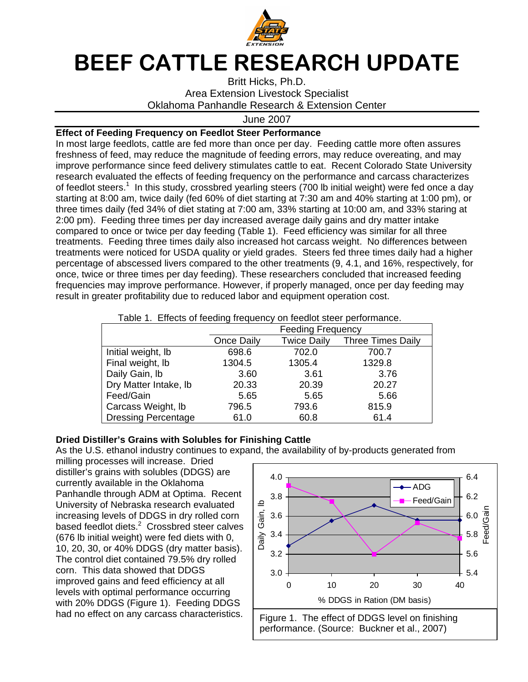

## BEEF CATTLE RESEARCH UPDATE

Britt Hicks, Ph.D. Area Extension Livestock Specialist Oklahoma Panhandle Research & Extension Center

June 2007

## **Effect of Feeding Frequency on Feedlot Steer Performance**

In most large feedlots, cattle are fed more than once per day. Feeding cattle more often assures freshness of feed, may reduce the magnitude of feeding errors, may reduce overeating, and may improve performance since feed delivery stimulates cattle to eat. Recent Colorado State University research evaluated the effects of feeding frequency on the performance and carcass characterizes of feedlot steers.<sup>1</sup> In this study, crossbred yearling steers (700 lb initial weight) were fed once a day starting at 8:00 am, twice daily (fed 60% of diet starting at 7:30 am and 40% starting at 1:00 pm), or three times daily (fed 34% of diet stating at 7:00 am, 33% starting at 10:00 am, and 33% staring at 2:00 pm). Feeding three times per day increased average daily gains and dry matter intake compared to once or twice per day feeding (Table 1). Feed efficiency was similar for all three treatments. Feeding three times daily also increased hot carcass weight. No differences between treatments were noticed for USDA quality or yield grades. Steers fed three times daily had a higher percentage of abscessed livers compared to the other treatments (9, 4.1, and 16%, respectively, for once, twice or three times per day feeding). These researchers concluded that increased feeding frequencies may improve performance. However, if properly managed, once per day feeding may result in greater profitability due to reduced labor and equipment operation cost.

| Table 1. Effects of feeding frequency on feedlot steer performance. |                          |                    |                          |
|---------------------------------------------------------------------|--------------------------|--------------------|--------------------------|
|                                                                     | <b>Feeding Frequency</b> |                    |                          |
|                                                                     | Once Daily               | <b>Twice Daily</b> | <b>Three Times Daily</b> |
| Initial weight, lb                                                  | 698.6                    | 702.0              | 700.7                    |
| Final weight, lb                                                    | 1304.5                   | 1305.4             | 1329.8                   |
| Daily Gain, Ib                                                      | 3.60                     | 3.61               | 3.76                     |
| Dry Matter Intake, Ib                                               | 20.33                    | 20.39              | 20.27                    |
| Feed/Gain                                                           | 5.65                     | 5.65               | 5.66                     |
| Carcass Weight, Ib                                                  | 796.5                    | 793.6              | 815.9                    |
| <b>Dressing Percentage</b>                                          | 61.0                     | 60.8               | 61.4                     |

Table 1. Effects of feeding frequency on feedlot steer performance.

## **Dried Distiller's Grains with Solubles for Finishing Cattle**

As the U.S. ethanol industry continues to expand, the availability of by-products generated from

milling processes will increase. Dried distiller's grains with solubles (DDGS) are currently available in the Oklahoma Panhandle through ADM at Optima. Recent University of Nebraska research evaluated increasing levels of DDGS in dry rolled corn based feedlot diets.<sup>2</sup> Crossbred steer calves (676 lb initial weight) were fed diets with 0, 10, 20, 30, or 40% DDGS (dry matter basis). The control diet contained 79.5% dry rolled corn. This data showed that DDGS improved gains and feed efficiency at all levels with optimal performance occurring with 20% DDGS (Figure 1). Feeding DDGS had no effect on any carcass characteristics.